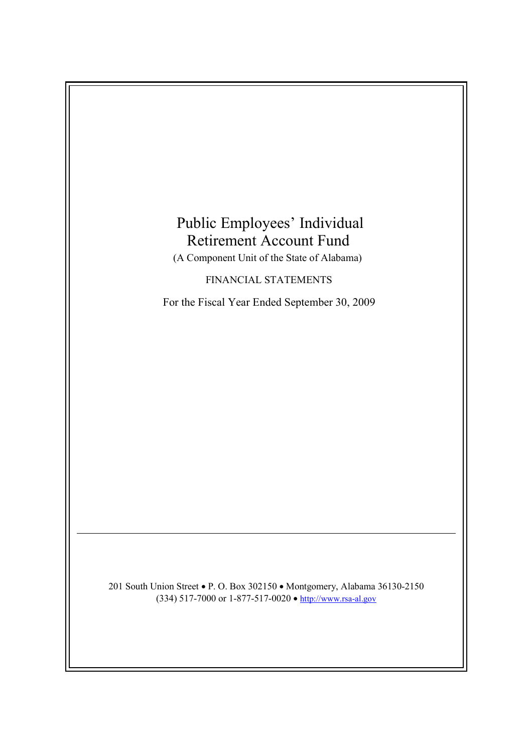# Public Employees' Individual Retirement Account Fund

(A Component Unit of the State of Alabama)

FINANCIAL STATEMENTS

For the Fiscal Year Ended September 30, 2009

201 South Union Street • P. O. Box 302150 • Montgomery, Alabama 36130-2150 (334) 517-7000 or 1-877-517-0020 • http://www.rsa-al.gov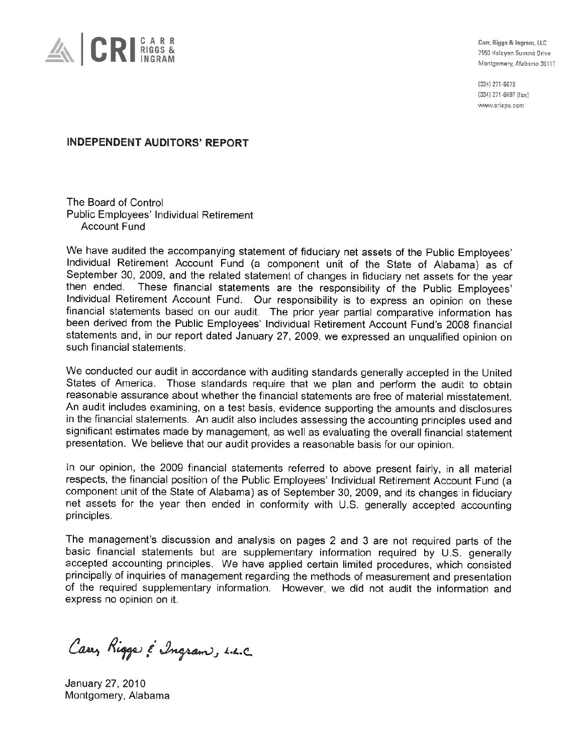

Carr, Riggs & Ingram, LLC 7550 Halcyon Summit Drive Montgomery, Alabama 36117

(334) 271-6678 (334) 271-6697 (fax) www.cricpa.com

## **INDEPENDENT AUDITORS' REPORT**

The Board of Control Public Employees' Individual Retirement **Account Fund** 

We have audited the accompanying statement of fiduciary net assets of the Public Employees' Individual Retirement Account Fund (a component unit of the State of Alabama) as of September 30, 2009, and the related statement of changes in fiduciary net assets for the year then ended. These financial statements are the responsibility of the Public Employees' Individual Retirement Account Fund. Our responsibility is to express an opinion on these financial statements based on our audit. The prior year partial comparative information has been derived from the Public Employees' Individual Retirement Account Fund's 2008 financial statements and, in our report dated January 27, 2009, we expressed an unqualified opinion on such financial statements.

We conducted our audit in accordance with auditing standards generally accepted in the United States of America. Those standards require that we plan and perform the audit to obtain reasonable assurance about whether the financial statements are free of material misstatement. An audit includes examining, on a test basis, evidence supporting the amounts and disclosures in the financial statements. An audit also includes assessing the accounting principles used and significant estimates made by management, as well as evaluating the overall financial statement presentation. We believe that our audit provides a reasonable basis for our opinion.

In our opinion, the 2009 financial statements referred to above present fairly, in all material respects, the financial position of the Public Employees' Individual Retirement Account Fund (a component unit of the State of Alabama) as of September 30, 2009, and its changes in fiduciary net assets for the year then ended in conformity with U.S. generally accepted accounting principles.

The management's discussion and analysis on pages 2 and 3 are not required parts of the basic financial statements but are supplementary information required by U.S. generally accepted accounting principles. We have applied certain limited procedures, which consisted principally of inquiries of management regarding the methods of measurement and presentation of the required supplementary information. However, we did not audit the information and express no opinion on it.

Carry Rigger & Ingram, L.L.C.

January 27, 2010 Montgomery, Alabama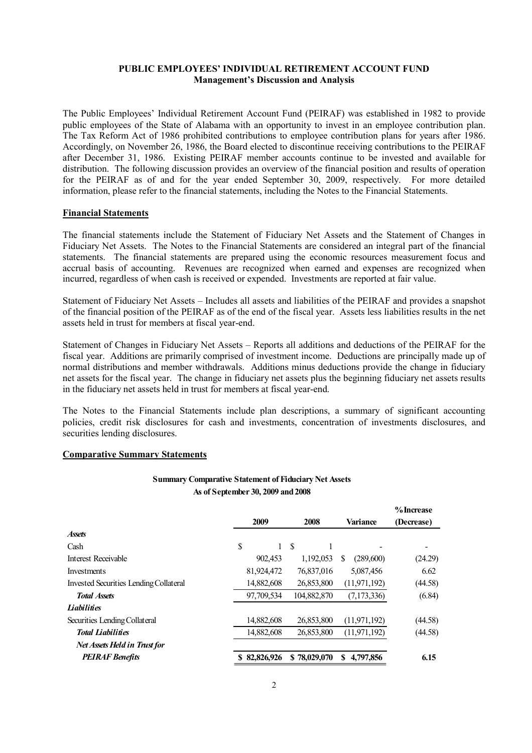## **PUBLIC EMPLOYEES' INDIVIDUAL RETIREMENT ACCOUNT FUND Management's Discussion and Analysis**

The Public Employees' Individual Retirement Account Fund (PEIRAF) was established in 1982 to provide public employees of the State of Alabama with an opportunity to invest in an employee contribution plan. The Tax Reform Act of 1986 prohibited contributions to employee contribution plans for years after 1986. Accordingly, on November 26, 1986, the Board elected to discontinue receiving contributions to the PEIRAF after December 31, 1986. Existing PEIRAF member accounts continue to be invested and available for distribution. The following discussion provides an overview of the financial position and results of operation for the PEIRAF as of and for the year ended September 30, 2009, respectively. For more detailed information, please refer to the financial statements, including the Notes to the Financial Statements.

#### **Financial Statements**

The financial statements include the Statement of Fiduciary Net Assets and the Statement of Changes in Fiduciary Net Assets. The Notes to the Financial Statements are considered an integral part of the financial statements. The financial statements are prepared using the economic resources measurement focus and accrual basis of accounting. Revenues are recognized when earned and expenses are recognized when incurred, regardless of when cash is received or expended. Investments are reported at fair value.

Statement of Fiduciary Net Assets – Includes all assets and liabilities of the PEIRAF and provides a snapshot of the financial position of the PEIRAF as of the end of the fiscal year. Assets less liabilities results in the net assets held in trust for members at fiscal year-end.

Statement of Changes in Fiduciary Net Assets – Reports all additions and deductions of the PEIRAF for the fiscal year. Additions are primarily comprised of investment income. Deductions are principally made up of normal distributions and member withdrawals. Additions minus deductions provide the change in fiduciary net assets for the fiscal year. The change in fiduciary net assets plus the beginning fiduciary net assets results in the fiduciary net assets held in trust for members at fiscal year-end.

The Notes to the Financial Statements include plan descriptions, a summary of significant accounting policies, credit risk disclosures for cash and investments, concentration of investments disclosures, and securities lending disclosures.

#### **Comparative Summary Statements**

#### **Summary Comparative Statement of Fiduciary Net Assets As of September 30, 2009 and2008**

|                                        | 2009         | 2008         | <b>Variance</b> | % Increase<br>(Decrease) |
|----------------------------------------|--------------|--------------|-----------------|--------------------------|
| <b>Assets</b>                          |              |              |                 |                          |
| Cash                                   | \$           | -S           |                 |                          |
| Interest Receivable                    | 902,453      | 1,192,053    | S<br>(289,600)  | (24.29)                  |
| Investments                            | 81,924,472   | 76,837,016   | 5,087,456       | 6.62                     |
| Invested Securities Lending Collateral | 14,882,608   | 26,853,800   | (11, 971, 192)  | (44.58)                  |
| <b>Total Assets</b>                    | 97,709,534   | 104,882,870  | (7, 173, 336)   | (6.84)                   |
| <b>Liabilities</b>                     |              |              |                 |                          |
| Securities Lending Collateral          | 14,882,608   | 26,853,800   | (11, 971, 192)  | (44.58)                  |
| <b>Total Liabilities</b>               | 14,882,608   | 26,853,800   | (11, 971, 192)  | (44.58)                  |
| Net Assets Held in Trust for           |              |              |                 |                          |
| <b>PEIRAF Benefits</b>                 | \$82,826,926 | \$78,029,070 | \$<br>4,797,856 | 6.15                     |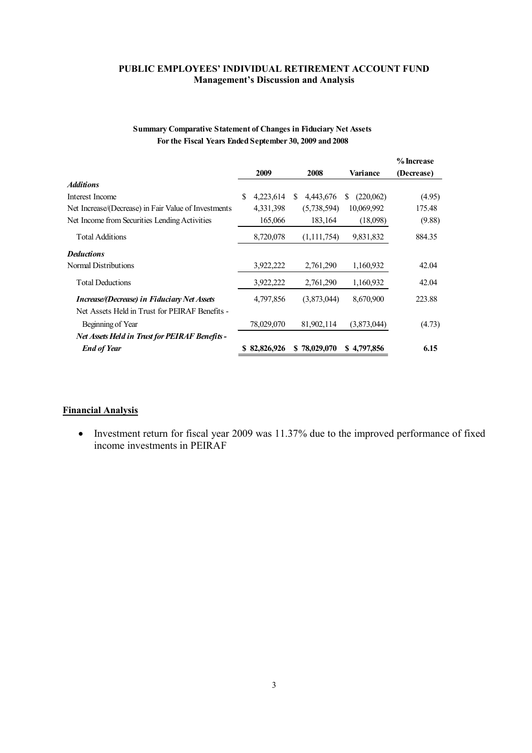## **PUBLIC EMPLOYEES' INDIVIDUAL RETIREMENT ACCOUNT FUND Management's Discussion and Analysis**

|                                                      |    |              |     |               |                | % Increase |
|------------------------------------------------------|----|--------------|-----|---------------|----------------|------------|
|                                                      |    | 2009         |     | 2008          | Variance       | (Decrease) |
| <i><b>Additions</b></i>                              |    |              |     |               |                |            |
| Interest Income                                      | S. | 4,223,614    | \$. | 4,443,676     | (220,062)<br>S | (4.95)     |
| Net Increase/(Decrease) in Fair Value of Investments |    | 4,331,398    |     | (5,738,594)   | 10,069,992     | 175.48     |
| Net Income from Securities Lending Activities        |    | 165,066      |     | 183,164       | (18,098)       | (9.88)     |
| <b>Total Additions</b>                               |    | 8,720,078    |     | (1, 111, 754) | 9,831,832      | 884.35     |
| <b>Deductions</b>                                    |    |              |     |               |                |            |
| Normal Distributions                                 |    | 3,922,222    |     | 2,761,290     | 1,160,932      | 42.04      |
| <b>Total Deductions</b>                              |    | 3,922,222    |     | 2,761,290     | 1,160,932      | 42.04      |
| <i>Increase/(Decrease) in Fiduciary Net Assets</i>   |    | 4,797,856    |     | (3,873,044)   | 8,670,900      | 223.88     |
| Net Assets Held in Trust for PEIRAF Benefits -       |    |              |     |               |                |            |
| Beginning of Year                                    |    | 78,029,070   |     | 81,902,114    | (3,873,044)    | (4.73)     |
| Net Assets Held in Trust for PEIRAF Benefits -       |    |              |     |               |                |            |
| <b>End of Year</b>                                   |    | \$82,826,926 |     | \$78,029,070  | \$4,797,856    | 6.15       |

## **Summary Comparative Statement of Changes in Fiduciary Net Assets For the Fiscal Years Ended September 30, 2009 and 2008**

## **Financial Analysis**

 Investment return for fiscal year 2009 was 11.37% due to the improved performance of fixed income investments in PEIRAF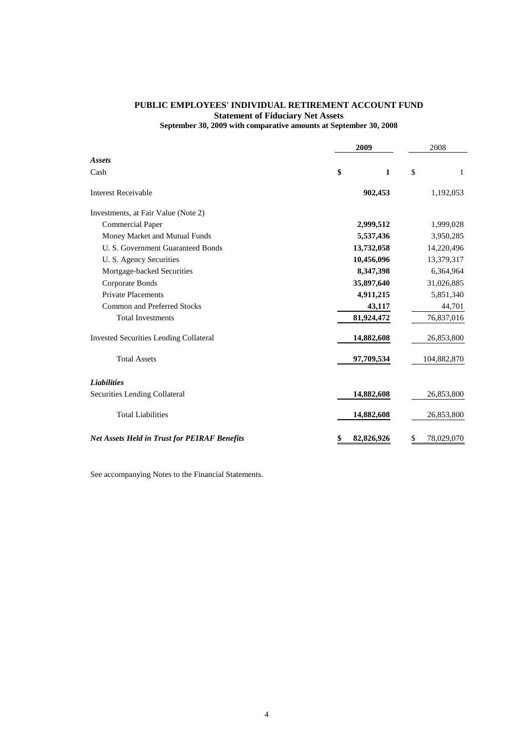## **PUBLIC EMPLOYEES' INDIVIDUAL RETIREMENT ACCOUNT FUND Statement of Fiduciary Net Assets**

**September 30, 2009 with comparative amounts at September 30, 2008**

|                                                     | 2009             | 2008             |
|-----------------------------------------------------|------------------|------------------|
| Assets                                              |                  |                  |
| Cash                                                | \$<br>1          | \$<br>1          |
| <b>Interest Receivable</b>                          | 902,453          | 1,192,053        |
| Investments, at Fair Value (Note 2)                 |                  |                  |
| <b>Commercial Paper</b>                             | 2,999,512        | 1,999,028        |
| Money Market and Mutual Funds                       | 5,537,436        | 3,950,285        |
| U. S. Government Guaranteed Bonds                   | 13,732,058       | 14,220,496       |
| U. S. Agency Securities                             | 10,456,096       | 13,379,317       |
| Mortgage-backed Securities                          | 8,347,398        | 6,364,964        |
| Corporate Bonds                                     | 35,897,640       | 31,026,885       |
| <b>Private Placements</b>                           | 4,911,215        | 5,851,340        |
| <b>Common and Preferred Stocks</b>                  | 43,117           | 44,701           |
| <b>Total Investments</b>                            | 81,924,472       | 76,837,016       |
| <b>Invested Securities Lending Collateral</b>       | 14,882,608       | 26,853,800       |
| <b>Total Assets</b>                                 | 97,709,534       | 104,882,870      |
| <b>Liabilities</b>                                  |                  |                  |
| Securities Lending Collateral                       | 14,882,608       | 26,853,800       |
| <b>Total Liabilities</b>                            | 14,882,608       | 26,853,800       |
| <b>Net Assets Held in Trust for PEIRAF Benefits</b> | \$<br>82,826,926 | \$<br>78,029,070 |

See accompanying Notes to the Financial Statements.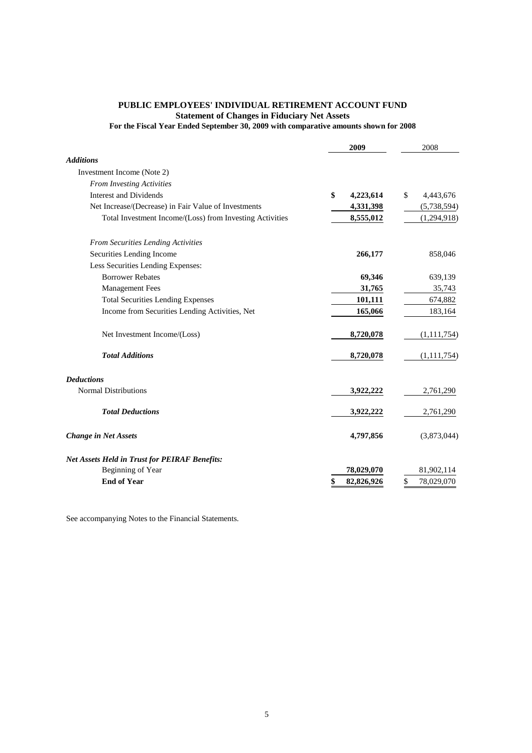#### **PUBLIC EMPLOYEES' INDIVIDUAL RETIREMENT ACCOUNT FUND Statement of Changes in Fiduciary Net Assets For the Fiscal Year Ended September 30, 2009 with comparative amounts shown for 2008**

|                                                          | 2009             | 2008             |
|----------------------------------------------------------|------------------|------------------|
| <b>Additions</b>                                         |                  |                  |
| Investment Income (Note 2)                               |                  |                  |
| <b>From Investing Activities</b>                         |                  |                  |
| <b>Interest and Dividends</b>                            | \$<br>4,223,614  | \$<br>4,443,676  |
| Net Increase/(Decrease) in Fair Value of Investments     | 4,331,398        | (5,738,594)      |
| Total Investment Income/(Loss) from Investing Activities | 8,555,012        | (1,294,918)      |
| <b>From Securities Lending Activities</b>                |                  |                  |
| Securities Lending Income                                | 266,177          | 858,046          |
| Less Securities Lending Expenses:                        |                  |                  |
| <b>Borrower Rebates</b>                                  | 69,346           | 639,139          |
| <b>Management Fees</b>                                   | 31,765           | 35,743           |
| <b>Total Securities Lending Expenses</b>                 | 101,111          | 674,882          |
| Income from Securities Lending Activities, Net           | 165,066          | 183,164          |
| Net Investment Income/(Loss)                             | 8,720,078        | (1, 111, 754)    |
| <b>Total Additions</b>                                   | 8,720,078        | (1, 111, 754)    |
| <b>Deductions</b>                                        |                  |                  |
| <b>Normal Distributions</b>                              | 3,922,222        | 2,761,290        |
| <b>Total Deductions</b>                                  | 3,922,222        | 2,761,290        |
| <b>Change in Net Assets</b>                              | 4,797,856        | (3,873,044)      |
| <b>Net Assets Held in Trust for PEIRAF Benefits:</b>     |                  |                  |
| Beginning of Year                                        | 78,029,070       | 81,902,114       |
| <b>End of Year</b>                                       | 82,826,926<br>\$ | \$<br>78,029,070 |

See accompanying Notes to the Financial Statements.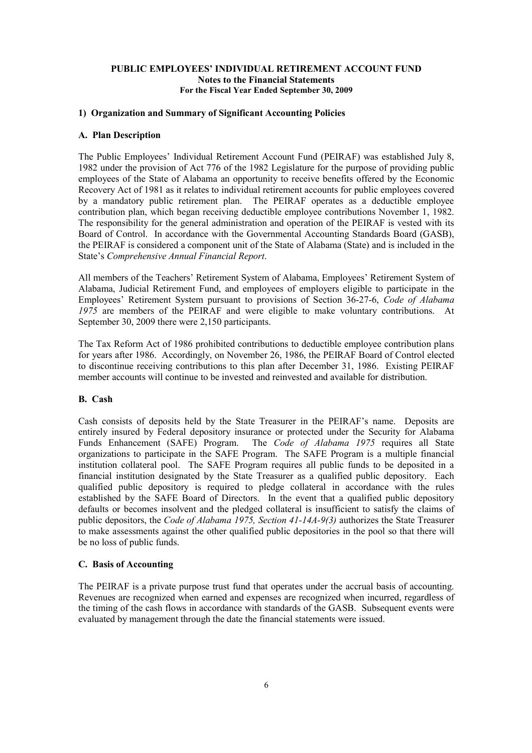## **1) Organization and Summary of Significant Accounting Policies**

#### **A. Plan Description**

The Public Employees' Individual Retirement Account Fund (PEIRAF) was established July 8, 1982 under the provision of Act 776 of the 1982 Legislature for the purpose of providing public employees of the State of Alabama an opportunity to receive benefits offered by the Economic Recovery Act of 1981 as it relates to individual retirement accounts for public employees covered by a mandatory public retirement plan. The PEIRAF operates as a deductible employee contribution plan, which began receiving deductible employee contributions November 1, 1982. The responsibility for the general administration and operation of the PEIRAF is vested with its Board of Control. In accordance with the Governmental Accounting Standards Board (GASB), the PEIRAF is considered a component unit of the State of Alabama (State) and is included in the State's *Comprehensive Annual Financial Report*.

All members of the Teachers' Retirement System of Alabama, Employees' Retirement System of Alabama, Judicial Retirement Fund, and employees of employers eligible to participate in the Employees' Retirement System pursuant to provisions of Section 36-27-6, *Code of Alabama 1975* are members of the PEIRAF and were eligible to make voluntary contributions. At September 30, 2009 there were 2,150 participants.

The Tax Reform Act of 1986 prohibited contributions to deductible employee contribution plans for years after 1986. Accordingly, on November 26, 1986, the PEIRAF Board of Control elected to discontinue receiving contributions to this plan after December 31, 1986. Existing PEIRAF member accounts will continue to be invested and reinvested and available for distribution.

## **B. Cash**

Cash consists of deposits held by the State Treasurer in the PEIRAF's name. Deposits are entirely insured by Federal depository insurance or protected under the Security for Alabama Funds Enhancement (SAFE) Program. The *Code of Alabama 1975* requires all State organizations to participate in the SAFE Program. The SAFE Program is a multiple financial institution collateral pool. The SAFE Program requires all public funds to be deposited in a financial institution designated by the State Treasurer as a qualified public depository. Each qualified public depository is required to pledge collateral in accordance with the rules established by the SAFE Board of Directors. In the event that a qualified public depository defaults or becomes insolvent and the pledged collateral is insufficient to satisfy the claims of public depositors, the *Code of Alabama 1975, Section 41-14A-9(3)* authorizes the State Treasurer to make assessments against the other qualified public depositories in the pool so that there will be no loss of public funds.

## **C. Basis of Accounting**

The PEIRAF is a private purpose trust fund that operates under the accrual basis of accounting. Revenues are recognized when earned and expenses are recognized when incurred, regardless of the timing of the cash flows in accordance with standards of the GASB. Subsequent events were evaluated by management through the date the financial statements were issued.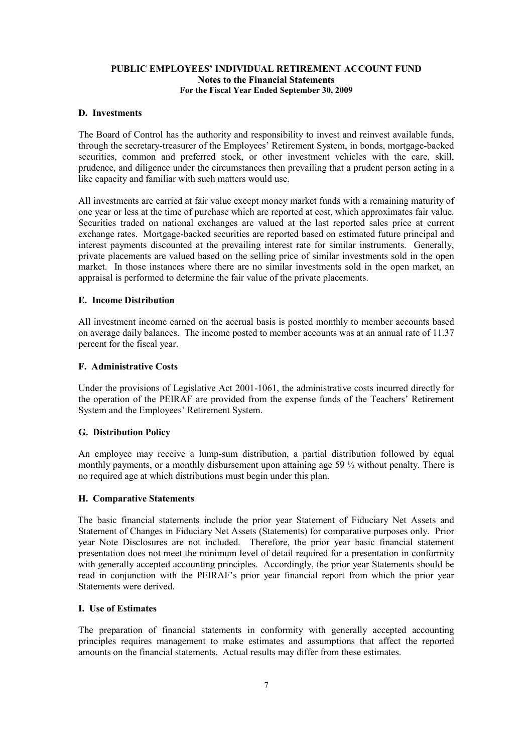#### **D. Investments**

The Board of Control has the authority and responsibility to invest and reinvest available funds, through the secretary-treasurer of the Employees' Retirement System, in bonds, mortgage-backed securities, common and preferred stock, or other investment vehicles with the care, skill, prudence, and diligence under the circumstances then prevailing that a prudent person acting in a like capacity and familiar with such matters would use.

All investments are carried at fair value except money market funds with a remaining maturity of one year or less at the time of purchase which are reported at cost, which approximates fair value. Securities traded on national exchanges are valued at the last reported sales price at current exchange rates. Mortgage-backed securities are reported based on estimated future principal and interest payments discounted at the prevailing interest rate for similar instruments. Generally, private placements are valued based on the selling price of similar investments sold in the open market. In those instances where there are no similar investments sold in the open market, an appraisal is performed to determine the fair value of the private placements.

#### **E. Income Distribution**

All investment income earned on the accrual basis is posted monthly to member accounts based on average daily balances. The income posted to member accounts was at an annual rate of 11.37 percent for the fiscal year.

#### **F. Administrative Costs**

Under the provisions of Legislative Act 2001-1061, the administrative costs incurred directly for the operation of the PEIRAF are provided from the expense funds of the Teachers' Retirement System and the Employees' Retirement System.

#### **G. Distribution Policy**

An employee may receive a lump-sum distribution, a partial distribution followed by equal monthly payments, or a monthly disbursement upon attaining age 59 ½ without penalty. There is no required age at which distributions must begin under this plan.

#### **H. Comparative Statements**

The basic financial statements include the prior year Statement of Fiduciary Net Assets and Statement of Changes in Fiduciary Net Assets (Statements) for comparative purposes only. Prior year Note Disclosures are not included. Therefore, the prior year basic financial statement presentation does not meet the minimum level of detail required for a presentation in conformity with generally accepted accounting principles. Accordingly, the prior year Statements should be read in conjunction with the PEIRAF's prior year financial report from which the prior year Statements were derived.

#### **I. Use of Estimates**

The preparation of financial statements in conformity with generally accepted accounting principles requires management to make estimates and assumptions that affect the reported amounts on the financial statements. Actual results may differ from these estimates.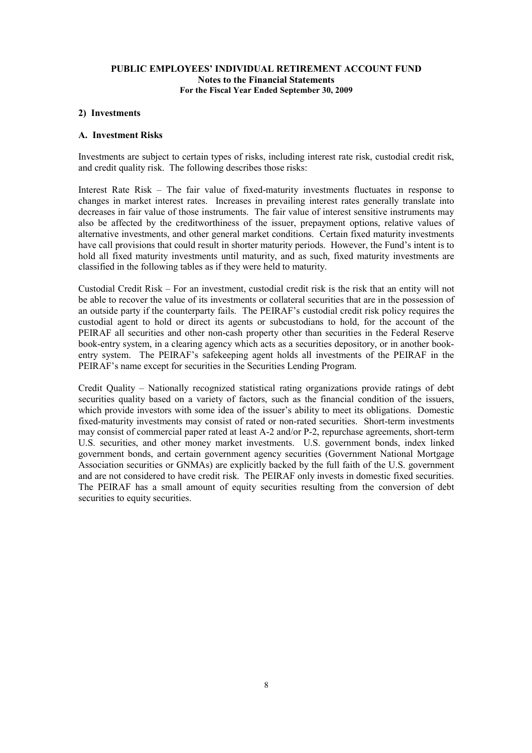#### **2) Investments**

#### **A. Investment Risks**

Investments are subject to certain types of risks, including interest rate risk, custodial credit risk, and credit quality risk. The following describes those risks:

Interest Rate Risk – The fair value of fixed-maturity investments fluctuates in response to changes in market interest rates. Increases in prevailing interest rates generally translate into decreases in fair value of those instruments. The fair value of interest sensitive instruments may also be affected by the creditworthiness of the issuer, prepayment options, relative values of alternative investments, and other general market conditions. Certain fixed maturity investments have call provisions that could result in shorter maturity periods. However, the Fund's intent is to hold all fixed maturity investments until maturity, and as such, fixed maturity investments are classified in the following tables as if they were held to maturity.

Custodial Credit Risk – For an investment, custodial credit risk is the risk that an entity will not be able to recover the value of its investments or collateral securities that are in the possession of an outside party if the counterparty fails. The PEIRAF's custodial credit risk policy requires the custodial agent to hold or direct its agents or subcustodians to hold, for the account of the PEIRAF all securities and other non-cash property other than securities in the Federal Reserve book-entry system, in a clearing agency which acts as a securities depository, or in another bookentry system. The PEIRAF's safekeeping agent holds all investments of the PEIRAF in the PEIRAF's name except for securities in the Securities Lending Program.

Credit Quality – Nationally recognized statistical rating organizations provide ratings of debt securities quality based on a variety of factors, such as the financial condition of the issuers, which provide investors with some idea of the issuer's ability to meet its obligations. Domestic fixed-maturity investments may consist of rated or non-rated securities. Short-term investments may consist of commercial paper rated at least A-2 and/or P-2, repurchase agreements, short-term U.S. securities, and other money market investments. U.S. government bonds, index linked government bonds, and certain government agency securities (Government National Mortgage Association securities or GNMAs) are explicitly backed by the full faith of the U.S. government and are not considered to have credit risk. The PEIRAF only invests in domestic fixed securities. The PEIRAF has a small amount of equity securities resulting from the conversion of debt securities to equity securities.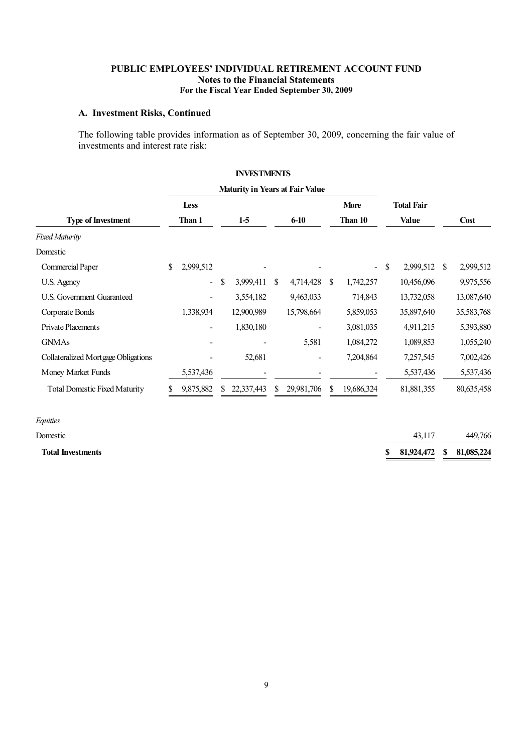#### **A. Investment Risks, Continued**

The following table provides information as of September 30, 2009, concerning the fair value of investments and interest rate risk:

|                                      |                          |    | <b>INVESTMENTS</b> |     |                                        |    |                          |               |                   |               |             |
|--------------------------------------|--------------------------|----|--------------------|-----|----------------------------------------|----|--------------------------|---------------|-------------------|---------------|-------------|
|                                      |                          |    |                    |     | <b>Maturity in Years at Fair Value</b> |    |                          |               |                   |               |             |
|                                      | Less                     |    |                    |     |                                        |    | <b>More</b>              |               | <b>Total Fair</b> |               |             |
| <b>Type of Investment</b>            | Than 1                   |    | $1-5$              |     | $6 - 10$                               |    | Than 10                  |               | <b>Value</b>      |               | <b>Cost</b> |
| <b>Fixed Maturity</b>                |                          |    |                    |     |                                        |    |                          |               |                   |               |             |
| Domestic                             |                          |    |                    |     |                                        |    |                          |               |                   |               |             |
| Commercial Paper                     | \$<br>2,999,512          |    |                    |     |                                        |    | $\overline{\phantom{0}}$ | <sup>\$</sup> | 2,999,512         | <sup>\$</sup> | 2,999,512   |
| U.S. Agency                          | $\overline{\phantom{0}}$ | \$ | 3,999,411          | \$. | 4,714,428                              | S  | 1,742,257                |               | 10,456,096        |               | 9,975,556   |
| <b>U.S. Government Guaranteed</b>    |                          |    | 3,554,182          |     | 9,463,033                              |    | 714,843                  |               | 13,732,058        |               | 13,087,640  |
| Corporate Bonds                      | 1,338,934                |    | 12,900,989         |     | 15,798,664                             |    | 5,859,053                |               | 35,897,640        |               | 35,583,768  |
| Private Placements                   |                          |    | 1,830,180          |     |                                        |    | 3,081,035                |               | 4,911,215         |               | 5,393,880   |
| <b>GNMAs</b>                         |                          |    |                    |     | 5,581                                  |    | 1,084,272                |               | 1,089,853         |               | 1,055,240   |
| Collateralized Mortgage Obligations  |                          |    | 52,681             |     | $\qquad \qquad \blacksquare$           |    | 7,204,864                |               | 7,257,545         |               | 7,002,426   |
| Money Market Funds                   | 5,537,436                |    |                    |     |                                        |    |                          |               | 5,537,436         |               | 5,537,436   |
| <b>Total Domestic Fixed Maturity</b> | 9,875,882                | S. | 22,337,443         | \$  | 29,981,706                             | \$ | 19,686,324               |               | 81,881,355        |               | 80,635,458  |
| Equities                             |                          |    |                    |     |                                        |    |                          |               |                   |               |             |

Domestic 43,117 449,766 **Total Investments 81,924,472\$ 81,085,224\$**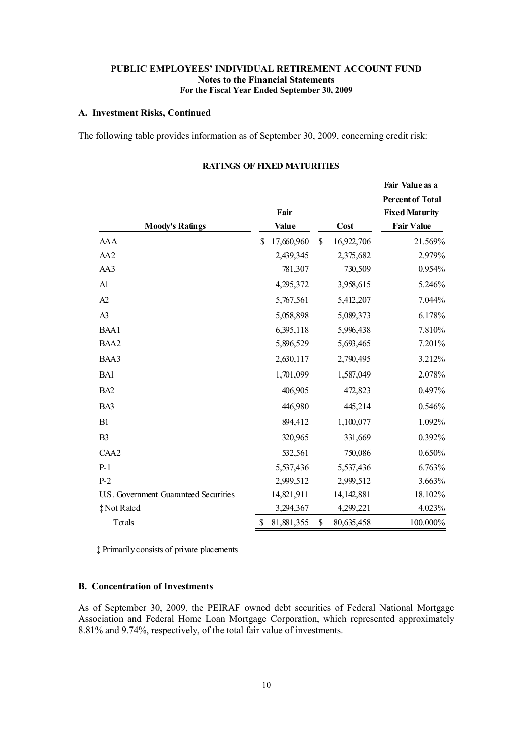#### **A. Investment Risks, Continued**

The following table provides information as of September 30, 2009, concerning credit risk:

| <b>Moody's Ratings</b>                | Fair<br>Value    | Cost             | <b>Percent of Total</b><br><b>Fixed Maturity</b><br><b>Fair Value</b> |
|---------------------------------------|------------------|------------------|-----------------------------------------------------------------------|
| AAA                                   | 17,660,960<br>\$ | 16,922,706<br>\$ | 21.569%                                                               |
| AA2                                   | 2,439,345        | 2,375,682        | 2.979%                                                                |
| AA3                                   | 781,307          | 730,509          | 0.954%                                                                |
| Al                                    | 4,295,372        | 3,958,615        | 5.246%                                                                |
| A2                                    | 5,767,561        | 5,412,207        | 7.044%                                                                |
| A3                                    | 5,058,898        | 5,089,373        | 6.178%                                                                |
| BAA1                                  | 6,395,118        | 5,996,438        | 7.810%                                                                |
| BAA2                                  | 5,896,529        | 5,693,465        | 7.201%                                                                |
| BAA3                                  | 2,630,117        | 2,790,495        | 3.212%                                                                |
| BA1                                   | 1,701,099        | 1,587,049        | 2.078%                                                                |
| BA <sub>2</sub>                       | 406,905          | 472,823          | 0.497%                                                                |
| BA3                                   | 446,980          | 445,214          | 0.546%                                                                |
| B1                                    | 894,412          | 1,100,077        | 1.092%                                                                |
| B3                                    | 320,965          | 331,669          | 0.392%                                                                |
| CAA2                                  | 532,561          | 750,086          | 0.650%                                                                |
| P-1                                   | 5,537,436        | 5,537,436        | 6.763%                                                                |
| $P-2$                                 | 2,999,512        | 2,999,512        | 3.663%                                                                |
| U.S. Government Guaranteed Securities | 14,821,911       | 14,142,881       | 18.102%                                                               |
| #Not Rated                            | 3,294,367        | 4,299,221        | 4.023%                                                                |
| Totals                                | 81,881,355<br>\$ | \$<br>80,635,458 | 100.000%                                                              |

## **RATINGS OF FIXED MATURITIES**

**Fair Value as a**

‡ Primarilyconsists of private placements

## **B. Concentration of Investments**

As of September 30, 2009, the PEIRAF owned debt securities of Federal National Mortgage Association and Federal Home Loan Mortgage Corporation, which represented approximately 8.81% and 9.74%, respectively, of the total fair value of investments.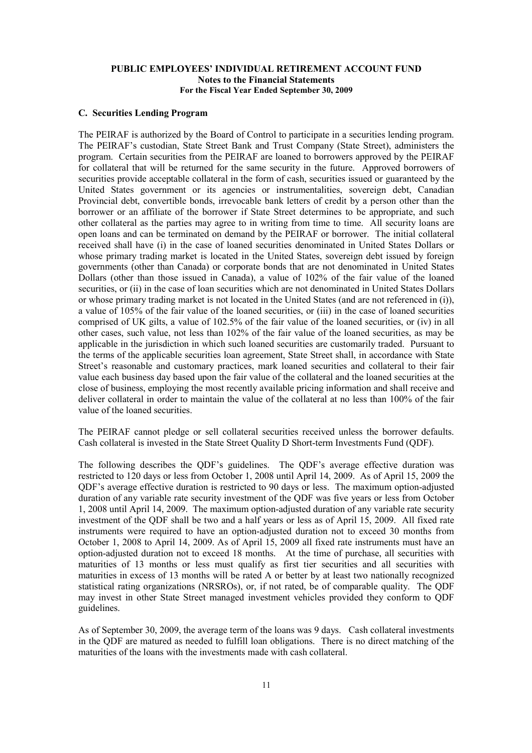#### **C. Securities Lending Program**

The PEIRAF is authorized by the Board of Control to participate in a securities lending program. The PEIRAF's custodian, State Street Bank and Trust Company (State Street), administers the program. Certain securities from the PEIRAF are loaned to borrowers approved by the PEIRAF for collateral that will be returned for the same security in the future. Approved borrowers of securities provide acceptable collateral in the form of cash, securities issued or guaranteed by the United States government or its agencies or instrumentalities, sovereign debt, Canadian Provincial debt, convertible bonds, irrevocable bank letters of credit by a person other than the borrower or an affiliate of the borrower if State Street determines to be appropriate, and such other collateral as the parties may agree to in writing from time to time. All security loans are open loans and can be terminated on demand by the PEIRAF or borrower. The initial collateral received shall have (i) in the case of loaned securities denominated in United States Dollars or whose primary trading market is located in the United States, sovereign debt issued by foreign governments (other than Canada) or corporate bonds that are not denominated in United States Dollars (other than those issued in Canada), a value of 102% of the fair value of the loaned securities, or (ii) in the case of loan securities which are not denominated in United States Dollars or whose primary trading market is not located in the United States (and are not referenced in (i)), a value of 105% of the fair value of the loaned securities, or (iii) in the case of loaned securities comprised of UK gilts, a value of 102.5% of the fair value of the loaned securities, or (iv) in all other cases, such value, not less than 102% of the fair value of the loaned securities, as may be applicable in the jurisdiction in which such loaned securities are customarily traded. Pursuant to the terms of the applicable securities loan agreement, State Street shall, in accordance with State Street's reasonable and customary practices, mark loaned securities and collateral to their fair value each business day based upon the fair value of the collateral and the loaned securities at the close of business, employing the most recently available pricing information and shall receive and deliver collateral in order to maintain the value of the collateral at no less than 100% of the fair value of the loaned securities.

The PEIRAF cannot pledge or sell collateral securities received unless the borrower defaults. Cash collateral is invested in the State Street Quality D Short-term Investments Fund (QDF).

The following describes the QDF's guidelines. The QDF's average effective duration was restricted to 120 days or less from October 1, 2008 until April 14, 2009. As of April 15, 2009 the QDF's average effective duration is restricted to 90 days or less. The maximum option-adjusted duration of any variable rate security investment of the QDF was five years or less from October 1, 2008 until April 14, 2009. The maximum option-adjusted duration of any variable rate security investment of the QDF shall be two and a half years or less as of April 15, 2009. All fixed rate instruments were required to have an option-adjusted duration not to exceed 30 months from October 1, 2008 to April 14, 2009. As of April 15, 2009 all fixed rate instruments must have an option-adjusted duration not to exceed 18 months. At the time of purchase, all securities with maturities of 13 months or less must qualify as first tier securities and all securities with maturities in excess of 13 months will be rated A or better by at least two nationally recognized statistical rating organizations (NRSROs), or, if not rated, be of comparable quality. The QDF may invest in other State Street managed investment vehicles provided they conform to QDF guidelines.

As of September 30, 2009, the average term of the loans was 9 days. Cash collateral investments in the QDF are matured as needed to fulfill loan obligations. There is no direct matching of the maturities of the loans with the investments made with cash collateral.